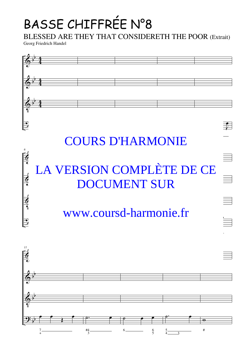## BASSE CHIFFRÉE N°8

BLESSED ARE THEY THAT CONSIDERETH THE POOR (Extrait)

Georg Friedrich Handel